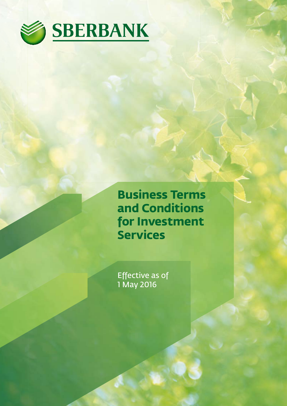

**Business Terms and Conditions for Investment Services**

Effective as of 1 May 2016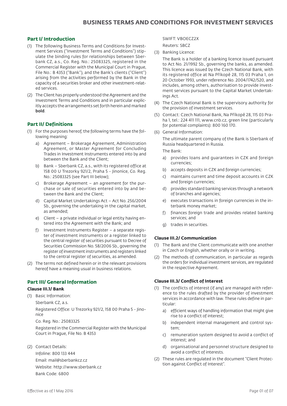## **Part I/ Introduction**

- (1) The following Business Terms and Conditions for Investment Services ("Investment Terms and Conditions") stipulate the binding rules for relationships between Sberbank CZ, a.s., Co. Reg. No.: 25083325, registered in the Commercial Register with the Municipal Court in Prague, File No.: B 4353 ("Bank"), and the Bank's clients ("Client") arising from the activities performed by the Bank in the capacity of a securities broker and other investment-related services.
- (2) The Client has properly understood the Agreement and the Investment Terms and Conditions and in particular explicitly accepts the arrangements set forth herein and marked bold.

## **Part II/ Definitions**

- (1) For the purposes hereof, the following terms have the following meaning:
	- a) Agreement Brokerage Agreement, Administration Agreement, or Master Agreement for Concluding Trades in Investment Instruments entered into by and between the Bank and the Client;
	- b) Bank Sberbank CZ, a.s., with its registered office at 158 00 U Trezorky 921/2, Praha 5 - Jinonice, Co. Reg. No.: 25083325 (see Part III below);
	- c) Brokerage Agreement an agreement for the purchase or sale of securities entered into by and between the Bank and the Client;
	- d) Capital Market Undertakings Act Act No. 256/2004 Sb., governing the undertaking in the capital market, as amended;
	- e) Client a private individual or legal entity having entered into the Agreement with the Bank; and
	- f) Investment Instruments Register a separate register of investment instruments or a register linked to the central register of securities pursuant to Decree of Securities Commission No. 58/2006 Sb., governing the register of investment instruments and registers linked to the central register of securities, as amended.
- (2) The terms not defined herein or in the relevant provisions hereof have a meaning usual in business relations.

# **Part III/ General Information**

#### **Clause III.1/ Bank**

(1) Basic Information:

Sberbank CZ, a.s.

Registered Office: U Trezorky 921/2, 158 00 Praha 5 - Jinonice

Co. Reg. No.: 25083325

Registered in the Commercial Register with the Municipal Court in Prague, File No. B 4353

(2) Contact Details:

Infoline: 800 133 444

Email: mail@sberbankcz.cz

Website: http://www.sberbank.cz

Bank Code: 6800

#### SWIFT: VBOECZ2X

Reuters: SBCZ

(3) Banking Licence:

The Bank is a holder of a banking licence issued pursuant to Act No. 21/1992 Sb., governing the banks, as amended. This licence was issued by the Czech National Bank, with its registered office at Na Příkopě 28, 115 03 Praha 1, on 20 October 1993, under reference No. 2004/1742/520, and includes, among others, authorisation to provide investment services pursuant to the Capital Market Undertakings Act.

- (4) The Czech National Bank is the supervisory authority for the provision of investment services.
- (5) Contact: Czech National Bank, Na Příkopě 28, 115 03 Praha 1, tel.: 224 411 111, www.cnb.cz, green line (particularly for potential complaints): 800 160 170.
- (6) General Information:

The ultimate parent company of the Bank is Sberbank of Russia headquartered in Russia.

- The Bank:
- a) provides loans and guarantees in CZK and foreign currencies;
- b) accepts deposits in CZK and foreign currencies;
- c) maintains current and time deposit accounts in CZK and foreign currencies;
- d) provides standard banking services through a network of branches and agencies;
- e) executes transactions in foreign currencies in the interbank money market;
- f) finances foreign trade and provides related banking services; and
- g) trades in securities.

#### **Clause III.2/ Communication**

- (1) The Bank and the Client communicate with one another in Czech or English, whether orally or in writing.
- (2) The methods of communication, in particular as regards the orders for individual investment services, are regulated in the respective Agreement.

#### **Clause III.3/ Conflict of Interest**

- (1) The conflicts of interest (if any) are managed with reference to the rules drafted by the provider of investment services in accordance with law. These rules define in particular:
	- a) efficient ways of handling information that might give rise to a conflict of interest;
	- b) independent internal management and control system;
	- c) remuneration system designed to avoid a conflict of interest; and
	- d) organisational and personnel structure designed to avoid a conflict of interests.
- (2) These rules are regulated in the document "Client Protection against Conflict of Interest".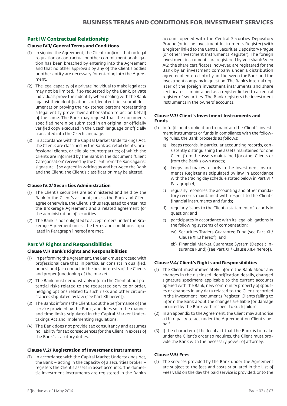## **Part IV/ Contractual Relationship**

#### **Clause IV.1/ General Terms and Conditions**

- (1) In signing the Agreement, the Client confirms that no legal regulation or contractual or other commitment or obligation has been breached by entering into the Agreement and that no other approvals by any of the Client's bodies or other entity are necessary for entering into the Agreement.
- (2) The legal capacity of a private individual to make legal acts may not be limited. If so requested by the Bank, private individuals prove their identity when dealing with the Bank against their identification card; legal entities submit documentation proving their existence; persons representing a legal entity prove their authorisation to act on behalf of the same. The Bank may request that the documents specified herein be submitted in an original or officially verified copy executed in the Czech language or officially translated into the Czech language.
- (3) In accordance with the Capital Market Undertakings Act, the Clients are classified by the Bank as: retail clients, professional clients, or eligible counterparties; of which the Clients are informed by the Bank in the document "Client Categorisation" received by the Client from the Bank against signature. If so agreed in writing by and between the Bank and the Client, the Client's classification may be altered.

#### **Clause IV.2/ Securities Administration**

- (1) The Client's securities are administered and held by the Bank in the Client's account; unless the Bank and Client agree otherwise, the Client is thus requested to enter into the Brokerage Agreement and a related agreement for the administration of securities.
- (2) The Bank is not obligated to accept orders under the Brokerage Agreement unless the terms and conditions stipulated in Paragraph 1 hereof are met.

## **Part V/ Rights and Responsibilities**

#### **Clause V.1/ Bank's Rights and Responsibilities**

- (1) In performing the Agreement, the Bank must proceed with professional care that, in particular, consists in qualified, honest and fair conduct in the best interests of the Clients and proper functioning of the market.
- (2) The Bank must demonstrably inform the Client about potential risks related to the requested service or order, hedging options related to such risks and other circumstances stipulated by law (see Part XII hereof).
- (3) The Banks informs the Client about the performance of the service provided by the Bank; and does so in the manner and time limits stipulated in the Capital Market Undertakings Act and implementing regulations.
- (4) The Bank does not provide tax consultancy and assumes no liability for tax consequences for the Client in excess of the Bank's statutory duties.

#### **Clause V.2/ Registration of Investment Instruments**

(1) In accordance with the Capital Market Undertakings Act, the Bank – acting in the capacity of a securities broker – registers the Client's assets in asset accounts. The domestic investment instruments are registered in the Bank's

account opened with the Central Securities Depository Prague (or in the Investment Instruments Register) with a register linked to the Central Securities Depository Prague (or other Investment Instruments Register). The foreign investment instruments are registered by Volksbank Wien AG; the share certificates, however, are registered for the Bank by an investment company under a distribution agreement entered into by and between the Bank and the investment company in question. The Bank's internal register of the foreign investment instruments and share certificates is maintained as a register linked to a central register of securities. The Bank registers the investment instruments in the owners' accounts.

#### **Clause V.3/ Client's Investment Instruments and Funds**

- (1) In fulfilling its obligation to maintain the Client's investment instruments or funds in compliance with the following rules, the Bank proceeds as follows:
	- a) keeps records, in particular accounting records, consistently distinguishing the assets maintained for one Client from the assets maintained for other Clients or from the Bank's own assets;
	- b) keeps and makes records in the Investment Instruments Register as stipulated by law in accordance with the trading day schedule stated below in Part VII/ Paragraph 4;
	- c) regularly reconciles the accounting and other mandatory records maintained with respect to the Client's financial instruments and funds;
	- d) regularly issues to the Client a statement of records in question; and
	- e) participates in accordance with its legal obligations in the following systems of compensation:
		- ea) Securities Traders Guarantee Fund (see Part XII/ Clause XII.3 hereof); and
		- eb) Financial Market Guarantee System (Deposit Insurance Fund) (see Part XII/ Clause XII.4 hereof).

## **Clause V.4/ Client's Rights and Responsibilities**

- (1) The Client must immediately inform the Bank about any changes in the disclosed identification details, changed signature specimens applicable to the current accounts opened with the Bank, new community property of spouses or changes in any data related to the Client recorded in the Investment Instruments Register. Clients failing to inform the Bank about the changes are liable for damage incurred by the Bank with respect to such failure.
- (2) In an appendix to the Agreement, the Client may authorise a third party to act under the Agreement on Client's behalf.
- (3) If the character of the legal act that the Bank is to make under the Client's order so requires, the Client must provide the Bank with the necessary power of attorney.

## **Clause V.5/ Fees**

(1) The services provided by the Bank under the Agreement are subject to the fees and costs stipulated in the List of Fees valid on the day the paid service is provided, or to the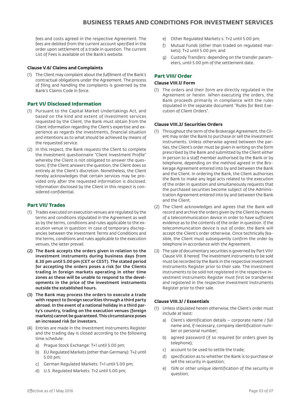fees and costs agreed in the respective Agreement. The fees are debited from the current account specified in the order upon settlement of a trade in question. The current List of Fees is available on the Bank's website.

## **Clause V.6/ Claims and Complaints**

(1) The Client may complaint about the fulfilment of the Bank's contractual obligations under the Agreement. The process of filing and handling the complaints is governed by the Bank's Claims Code in force.

## **Part VI/ Disclosed Information**

- (1) Pursuant to the Capital Market Undertakings Act, and based on the kind and extent of investment services requested by the Client, the Bank must obtain from the Client information regarding the Client's expertise and experience as regards the investments, financial situation and intentions as to what should be achieved by means of the requested service.
- (2) In this respect, the Bank requests the Client to complete the investment questionnaire "Client Investment Profile" whereby the Client is not obligated to answer the questions; if the Client answers the question, the Client does so entirely at the Client's discretion. Nonetheless, the Client hereby acknowledges that certain services may be provided only after the requested information is disclosed. Information disclosed by the Client in this respect is considered confidential.

#### **Part VII/ Trades**

- (1) Trades executed on execution venues are regulated by the terms and conditions stipulated in the Agreement as well as by the terms, conditions and rules applicable to the execution venue in question. In case of temporary discrepancies between the Investment Terms and Conditions and the terms, conditions and rules applicable to the execution venues, the latter prevail.
- (2) The Bank accepts the orders given in relation to the investment instruments during business days from 8.30 pm until 5.00 pm (CET or CEST). The stated period for accepting the orders poses a risk for the Clients trading in foreign markets operating in other time zones as these will be unable to respond to the developments in the price of the investment instruments outside the established hours.
- (3) The Bank may process the orders to execute a trade with respect to foreign securities through a third party abroad. In the event of a national holiday in a third party's country, trading on the execution venues (foreign markets) cannot be guaranteed. This circumstance poses an increased risk for investors.
- (4) Entries are made in the Investment Instruments Register and the trading day is closed according to the following time schedule:
	- a) Prague Stock Exchange: T+1 until 5.00 pm;
	- b) EU Regulated Markets (other than Germany): T+2 until 5.00 pm;
	- c) German Regulated Markets: T+1 until 5.00 pm;
	- d) U.S. Regulated Markets: T+2 until 5.00 pm;
- e) Other Regulated Markets s: T+2 until 5.00 pm;
- f) Mutual Funds (other than traded on regulated markets): T+2 until 5.00 pm; and
- g) Custody Transfers: depending on the transfer parameters, until 5.00 pm of the settlement date.

#### **Part VIII/ Order**

#### **Clause VIII.1/ Form**

(1) The orders and their form are directly regulated in the Agreement or herein. When executing the orders, the Bank proceeds primarily in compliance with the rules stipulated in the separate document "Rules for Best Execution of Client Orders".

#### **Clause VIII.2/ Securities Orders**

- (1) Throughout the term of the Brokerage Agreement, the Client may order the Bank to purchase or sell the investment instruments. Unless otherwise agreed between the parties, the Client's order must be given in writing on the form prescribed by the Bank and submitted by the Client either in person to a staff member authorised by the Bank or by telephone, depending on the method agreed in the Brokerage Agreement entered into by and between the Bank and the Client. In ordering the Bank, the Client authorises the Bank to make any legal acts related to the execution of the order in question and simultaneously requests that the purchased securities become subject of the Administration Agreement entered into by and between the Bank and the Client.
- (2) The Client acknowledges and agrees that the Bank will record and archive the orders given by the Client by means of a telecommunication device in order to have sufficient evidence as to the contents of the order in question. If the telecommunication device is out of order, the Bank will accept the Client's order otherwise. Once technically feasible, the Client must subsequently confirm the order by telephone in accordance with the Agreement.
- (3) The sale of documentary securities is governed by Part VIII/ Clause VIII. 8 hereof. The investment instruments to be sold must be recorded by the Bank in the respective Investment Instruments Register prior to their sale. The investment instruments to be sold not registered in the respective investment instruments Register must first be transferred and registered in the respective Investment Instruments Register prior to their sale.

#### **Clause VIII.3/ / Essentials**

- (1) Unless stipulated herein otherwise, the Client's order must include at least:
	- a) Client's identification details corporate name / full name and, if necessary, company identification number or personal number;
	- b) agreed password (if so required for orders given by telephone);
	- c) account to be used to settle the trade;
	- d) specification as to whether the Bank is to purchase or sell the security in question;
	- e) ISIN or other unique identification of the security in question;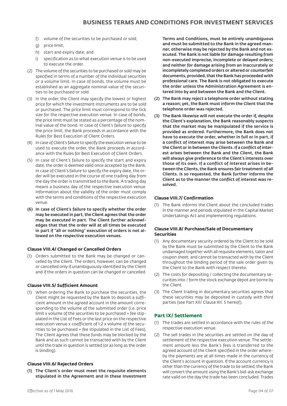- f) volume of the securities to be purchased or sold;
- g) price limit;
- h) start and expiry date; and
- i) specification as to what execution venue is to be used to execute the order.
- (2) The volume of the securities to be purchased or sold may be specified in terms of a number of the individual securities or a volume limit. In case of bonds, the volume must be established as an aggregate nominal value of the securities to be purchased or sold.
- (3) In the order, the Client may specify the lowest or highest price for which the investment instruments are to be sold or purchased. The price limit must correspond to the tick size for the respective execution venue. In case of bonds, the price limit must be stated as a percentage of the nominal value of the bond. In case of Client's failure to specify the price limit, the Bank proceeds in accordance with the Rules for Best Execution of Client Orders.
- (4) In case of Client's failure to specify the execution venue to be used to execute the order, the Bank proceeds in accordance with the Rules for Best Execution of Client Orders.
- (5) In case of Client's failure to specify the start and expiry date, the order is deemed valid once accepted by the Bank. In case of Client's failure to specify the expiry date, the order will be executed in the course of one trading day from the day the order is transmitted to the Bank. A trading day means a business day of the respective execution venue. Information about the validity of the order must comply with the terms and conditions of the respective execution venue.
- (6) In case of Client's failure to specify whether the order may be executed in part, the Client agrees that the order may be executed in part. The Client further acknowledges that that the order will at all times be executed in part if "all or nothing" execution of orders is not allowed on the respective execution venues.

#### **Clause VIII.4/ Changed or Cancelled Orders**

(1) Orders submitted to the Bank may be changed or cancelled by the Client. The orders, however, can be changed or cancelled only if unambiguously identified by the Client and if the orders in question can be changed or cancelled.

#### **Clause VIII.5/ Sufficient Amount**

(1) When ordering the Bank to purchase the securities, the Client might be requested by the Bank to deposit a sufficient amount in the agreed account in the amount corresponding to the volume of the submitted order (i.e. price limit x volume of the securities to be purchased + fee stipulated in the List of Fees or the last price on the respective execution venue x coefficient of 1.2 x volume of the securities to be purchased + fee stipulated in the List of Fees), The Client agrees that these funds may be blocked by the Bank and as such cannot be transacted with by the Client until the trade in question is settled (or as long as the order is binding).

#### **Clause VIII.6/ Rejected Orders**

(1) The Client's order must meet the requisite elements stipulated in the Agreement and in these Investment Terms and Conditions, must be entirely unambiguous and must be submitted to the Bank in the agreed manner, otherwise may be rejected by the Bank and not executed. The Bank is not liable for damage resulting from non-executed imprecise, incomplete or delayed orders; and neither for damage arising from an inaccurately or incompletely completed orders or altered or counterfeit documents, provided, that the Bank has proceeded with professional care. The Bank is not obligated to execute the order unless the Administration Agreement is entered into by and between the Bank and the Client.

- (2) The Bank may reject a telephone order without stating a reason; yet, the Bank must inform the Client that the telephone order was rejected.
- (3) The Bank likewise will not execute the order if, despite the Client's explanation, the Bank reasonably suspects that the market may be manipulated if the service is provided as ordered. Furthermore, the Bank does not have to execute the order, whether in full or in part, if a conflict of interest may arise between the Bank and the Client or in between the Clients. If a conflict of interest arises between the Bank and the Client, the Bank will always give preference to the Client's interests over those of its own. If a conflict of interest arises in between the Clients, the Bank ensures fair treatment of all Clients. Is so requested, the Bank further informs the Client as to the manner the conflict of interest was resolved.

#### **Clause VIII.7/ Confirmation**

(1) The Bank informs the Client about the concluded trades in the manner and periods stipulated in the Capital Market Undertakings Act and implementing regulations.

#### **Clause VIII.8/ Purchase/Sale of Documentary Securities**

- (1) Any documentary security ordered by the Client to be sold by the Bank must be submitted by the Client to the Bank undamaged together with all requisite elements, talon and coupon sheet; and cannot be transacted with by the Client throughout the binding period of the sale order given by the Client to the Bank with respect thereto.
- (2) The costs for depositing / collecting the documentary securities into / form the stock exchange depot are borne by the Client.
- (3) The Client trading in documentary securities agrees that these securities may be deposited in custody with third parties (see Part XII/ Clause XII. 5 hereof).

## **Part IX/ Settlement**

- (1) The trades are settled in accordance with the rules of the respective execution venue.
- (2) The sell trades in the securities are settled on the day of settlement of the respective execution venue. The settlement amount less the Bank's fees is transferred to the agreed account of the Client specified in the order whereby the payments are at all times made in the currency of the Client's account in question. If the account currency is other than the currency of the trade to be settled, the Bank will convert the amount using the Bank's bid-ask exchange rate valid on the day the trade has been concluded. Trades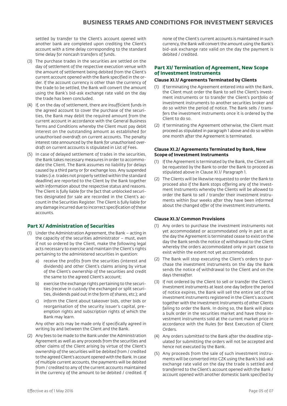settled by transfer to the Client's account opened with another bank are completed upon crediting the Client's account with a time delay corresponding to the standard time delay for noncash transfers of funds.

- (3) The purchase trades in the securities are settled on the day of settlement of the respective execution venue with the amount of settlement being debited from the Client's current account opened with the Bank specified in the order. If the account currency is other than the currency of the trade to be settled, the Bank will convert the amount using the Bank's bid-ask exchange rate valid on the day the trade has been concluded.
- (4) If, on the day of settlement, there are insufficient funds in the agreed account to cover the purchase of the securities, the Bank may debit the required amount from the current account in accordance with the General Business Terms and Conditions whereby the Client must pay debit interest on the outstanding amount as established for unauthorised overdraft on current accounts. The penalty interest rate announced by the Bank for unauthorised overdraft on current accounts is stipulated in List of Fees.
- (5) In case of delayed settlement of trades in the securities, the Bank takes necessary measures in order to accommodate the Client. The Bank assumes no liability for delays caused by a third party or for exchange loss. Any suspended trades (i.e. trades not properly settled within the standard deadline) are reported to the Client by the Bank together with information about the respective status and reasons. The Client is fully liable for the fact that unblocked securities designated for sale are recorded in the Client's account in the Securities Register. The Client is fully liable for any damage incurred due to incorrect specification of these accounts.

# **Part X/ Administration of Securities**

- (1) Under the Administration Agreement, the Bank acting in the capacity of the securities administrator – must, even if not so ordered by the Client, make the following legal acts necessary to exercise and maintain the Client's rights pertaining to the administered securities in question:
	- a) receive the profits from the securities (interest and dividends) and other Client's claims arising by virtue of the Client's ownership of the securities and credit the same to the agreed Client's account;
	- b) exercise the exchange rights pertaining to the securities (receive in custody the exchanged or split securities, dividends paid out in the form of shares, etc.); and
	- c) inform the Client about takeover bids, other bids or reorganisation of the security issuer's capital, preemption rights and subscription rights of which the Bank may learn.

Any other acts may be made only if specifically agreed in writing by and between the Client and the Bank.

(2) Any fees to be made to the Bank under the Administration Agreement as well as any proceeds from the securities and other claims of the Client arising by virtue of the Client's ownership of the securities will be debited from / credited to the agreed Client's account opened with the Bank. In case of multiple current accounts, the payments will be debited from / credited to any of the current accounts maintained in the currency of the amount to be debited / credited. If

none of the Client's current accounts is maintained in such currency, the Bank will convert the amount using the Bank's bid-ask exchange rate valid on the day the payment is debited / credited.

#### **Part XI/ Termination of Agreement, New Scope of Investment Instruments**

#### **Clause XI.1/ Agreements Terminated by Clients**

- (1) If terminating the Agreement entered into with the Bank, the Client must order the Bank to sell the Client's investment instruments or to transfer the Client's portfolio of investment instruments to another securities broker and do so within the period of notice. The Bank sells / transfers the investment instruments once it is ordered by the Client to do so.
- (2) If terminating the Agreement otherwise, the Client must proceed as stipulated in paragraph 1 above and do so within one month after the Agreement is terminated.

#### **Clause XI.2/ Agreements Terminated by Bank, New Scope of Investment Instruments**

- (1) If the Agreement is terminated by the Bank, the Client will be requested by the Bank to order the Bank to proceed as stipulated above in Clause XI.1/ Paragraph 1.
- (2) The Clients will be likewise requested to order the Bank to proceed also if the Bank stops offering any of the Investment Instruments whereby the Clients will be allowed to order the Bank to sell / transfer their investment instruments within four weeks after they have been informed about the changed offer of the investment instruments.

## **Clause XI.3/ Common Provisions**

- (1) Any orders to purchase the investment instruments not yet accommodated or accommodated only in part as at the day the Agreement is terminated cease to exist on the day the Bank sends the notice of withdrawal to the Client whereby the orders accommodated only in part cease to exist within the extent not yet accommodated.
- (2) The Bank will stop executing the Client's orders to purchase the investment instruments on the day the Bank sends the notice of withdrawal to the Client and on the days thereafter.
- (3) If not ordered by the Client to sell or transfer the Client's investment instruments at least one day before the period of notice expires, the Bank will sell the entire set of the investment instruments registered in the Client's account together with the Investment Instruments of other Clients failing to order the Bank. In doing so, the Bank will place a bulk order in the securities market and have those investment instruments sold at the current market price in accordance with the Rules for Best Execution of Client Orders.
- (4) Any orders submitted to the Bank after the deadline stipulated for submitting the orders will not be accepted and hence not executed by the Bank.
- (5) Any proceeds from the sale of such investment instruments will be converted into CZK using the Bank's bid-ask exchange rate valid on the day the trade is settled and transferred to the Client's account opened with the Bank / account opened with another domestic bank specified by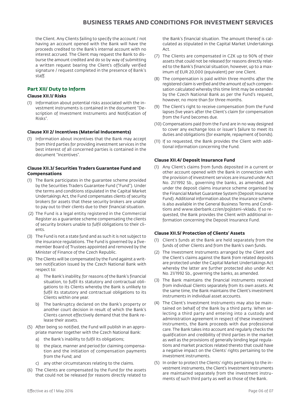the Client. Any Clients failing to specify the account / not having an account opened with the Bank will have the proceeds credited to the Bank's internal account with no interest accrued. The Client may request the Bank to disburse the amount credited and do so by way of submitting a written request bearing the Client's officially verified signature / request completed in the presence of Bank's staff.

# **Part XII/ Duty to Inform**

### **Clause XII.1/ Risks**

(1) Information about potential risks associated with the investment instruments is contained in the document "Description of Investment Instruments and Notification of Risks".

#### **Clause XII 2/ Incentives (Material Inducements)**

(1) Information about incentives that the Bank may accept from third parties for providing investment services in the best interest of all concerned parties is contained in the document "Incentives".

#### **Clause XII.3/ Securities Traders Guarantee Fund and Compensations**

- (1) The Bank participates in the guarantee scheme provided by the Securities Traders Guarantee Fund ("Fund"). Under the terms and conditions stipulated in the Capital Market Undertakings Act, the Fund compensates clients of security brokers for assets that these security brokers are unable to pay out to their clients due to their financial situation.
- (2) The Fund is a legal entity registered in the Commercial Register as a guarantee scheme compensating the clients of security brokers unable to fulfil obligations to their clients.
- (3) The Fund is not a state fund and as such it is not subject to the insurance regulations. The Fund is governed by a fivemember Board of Trustees appointed and removed by the Minister of Finance of the Czech Republic.
- (4) The Clients will be compensated by the Fund against a written notification issued by the Czech National Bank with respect to:
	- a) The Bank's inability, for reasons of the Bank's financial situation, to fulfil its statutory and contractual obligations to its Clients whereby the Bank is unlikely to fulfil its statutory and contractual obligations to its Clients within one year.
	- b) The bankruptcy declared on the Bank's property or another court decision in result of which the Bank's Clients cannot effectively demand that the Bank release their assets.
- (5) After being so notified, the Fund will publish in an appropriate manner together with the Czech National Bank:
	- a) the Bank's inability to fulfil its obligations;
	- b) the place, manner and period for claiming compensation and the initiation of compensation payments from the Fund; and
	- c) any other circumstances relating to the claims.
- (6) The Clients are compensated by the Fund for the assets that could not be released for reasons directly related to

the Bank's financial situation. The amount thereof is calculated as stipulated in the Capital Market Undertakings Act.

- (7) The Clients are compensated in CZK up to 90% of their assets that could not be released for reasons directly related to the Bank's financial situation, however, up to a maximum of EUR 20,000 (equivalent) per one Client.
- (8) The compensation is paid within three months after the registered claim is verified and the amount of such compensation calculated whereby this time limit may be extended by the Czech National Bank as per the Fund's request, however, no more than for three months.
- (9) The Client's right to receive compensation from the Fund lapses five years after the Client's claim for compensation from the Fund becomes due.
- (10) Compensations paid from the Fund are in no way designed to cover any exchange loss or issuer's failure to meet its duties and obligations (for example, repayment of bonds).
- (11) If so requested, the Bank provides the Client with additional information concerning the Fund.

## **Clause XII.4/ Deposit Insurance Fund**

(1) Any Client's claims from funds deposited in a current or other account opened with the Bank in connection with the provision of investment services are insured under Act No. 21/1992 Sb., governing the banks, as amended, and under the deposit claims insurance scheme organised by the Financial Market Guarantee System (Deposit Insurance Fund). Additional information about the insurance scheme is also available in the General Business Terms and Conditions and www.sberbank.cz/en/pojisteni-vkladu. If so requested, the Bank provides the Client with additional information concerning the Deposit Insurance Fund.

## **Clause XII.5/ Protection of Clients' Assets**

- (1) Client's funds at the Bank are held separately from the funds of other Clients and from the Bank's own funds.
- (2) The Investment Instruments arranged by the Client and the Client's claims against the Bank from related deposits are protected under the Capital Market Undertakings Act whereby the latter are further protected also under Act No. 21/1992 Sb., governing the banks, as amended.
- (3) The Bank maintains the financial instruments received from individual Clients separately from its own assets. At the same time, the Bank maintains the Client's investment instruments in individual asset accounts.
- (4) The Client's Investment Instruments may also be maintained on behalf of the Bank by a third party. When selecting a third party and entering into a custody and administration agreement in respect of these investment instruments, the Bank proceeds with due professional care. The Bank takes into account and regularly checks the qualification and credibility of third parties in the market as well as the provisions of generally binding legal regulations and market practices related thereto that could have a negative impact on the Clients' rights pertaining to the investment instruments.
- (5) In order to protect the Clients' rights pertaining to the investment instruments, the Client's Investment Instruments are maintained separately from the investment instruments of such third party as well as those of the Bank.